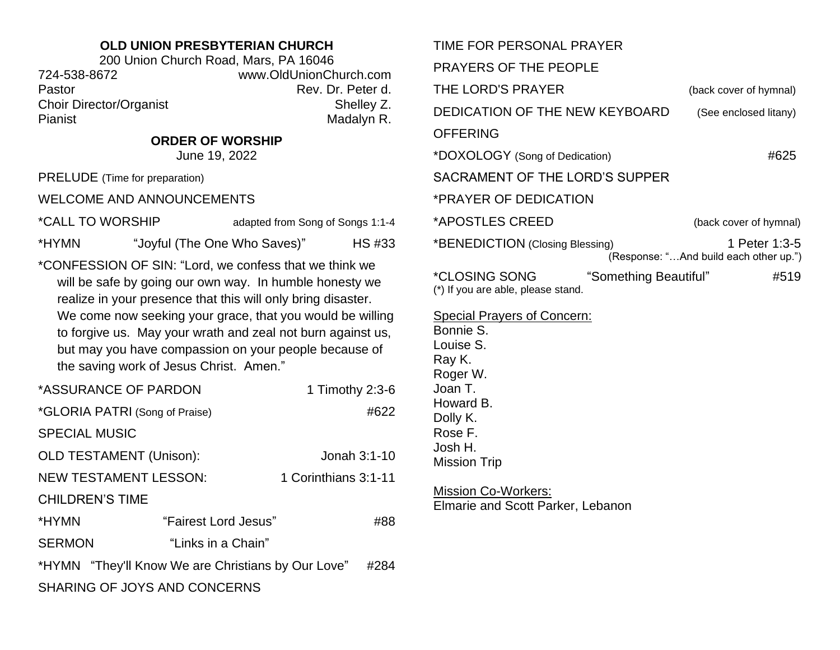## **OLD UNION PRESBYTERIAN CHURCH**

200 Union Church Road, Mars, PA 16046 724-538-8672 www.OldUnionChurch.com Pastor **Pastor** Rev. Dr. Peter d. Choir Director/Organist Shelley Z. Pianist Madalyn R.

**ORDER OF WORSHIP**

June 19, 2022

PRELUDE (Time for preparation)

WELCOME AND ANNOUNCEMENTS

\*CALL TO WORSHIP adapted from Song of Songs 1:1-4

\*HYMN "Joyful (The One Who Saves)" HS #33

\*CONFESSION OF SIN: "Lord, we confess that we think we will be safe by going our own way. In humble honesty we realize in your presence that this will only bring disaster. We come now seeking your grace, that you would be willing to forgive us. May your wrath and zeal not burn against us, but may you have compassion on your people because of the saving work of Jesus Christ. Amen."

| *ASSURANCE OF PARDON                               |                      | 1 Timothy 2:3-6      |  |
|----------------------------------------------------|----------------------|----------------------|--|
| *GLORIA PATRI (Song of Praise)                     |                      | #622                 |  |
| <b>SPECIAL MUSIC</b>                               |                      |                      |  |
| <b>OLD TESTAMENT (Unison):</b>                     |                      | Jonah 3:1-10         |  |
| <b>NEW TESTAMENT LESSON:</b>                       |                      | 1 Corinthians 3:1-11 |  |
| <b>CHILDREN'S TIME</b>                             |                      |                      |  |
| *HYMN                                              | "Fairest Lord Jesus" | #88                  |  |
| <b>SERMON</b>                                      | "Links in a Chain"   |                      |  |
| *HYMN "They'll Know We are Christians by Our Love" |                      |                      |  |
| SHARING OF JOYS AND CONCERNS                       |                      |                      |  |

| TIME FOR PERSONAL PRAYER                                                                                                                                            |                                                         |  |  |
|---------------------------------------------------------------------------------------------------------------------------------------------------------------------|---------------------------------------------------------|--|--|
| PRAYERS OF THE PEOPLE                                                                                                                                               |                                                         |  |  |
| THE LORD'S PRAYER                                                                                                                                                   | (back cover of hymnal)                                  |  |  |
| DEDICATION OF THE NEW KEYBOARD                                                                                                                                      | (See enclosed litany)                                   |  |  |
| <b>OFFERING</b>                                                                                                                                                     |                                                         |  |  |
| *DOXOLOGY (Song of Dedication)                                                                                                                                      | #625                                                    |  |  |
| SACRAMENT OF THE LORD'S SUPPER                                                                                                                                      |                                                         |  |  |
| *PRAYER OF DEDICATION                                                                                                                                               |                                                         |  |  |
| *APOSTLES CREED                                                                                                                                                     | (back cover of hymnal)                                  |  |  |
| *BENEDICTION (Closing Blessing)                                                                                                                                     | 1 Peter 1:3-5<br>(Response: "And build each other up.") |  |  |
| *CLOSING SONG<br>"Something Beautiful"<br>(*) If you are able, please stand.                                                                                        | #519                                                    |  |  |
| <b>Special Prayers of Concern:</b><br>Bonnie S.<br>Louise S.<br>Ray K.<br>Roger W.<br>Joan T.<br>Howard B.<br>Dolly K.<br>Rose F.<br>Josh H.<br><b>Mission Trip</b> |                                                         |  |  |
| <u> Mission Co-Workers:</u><br><b>Elmarie and Scott Parker, Lebanon</b>                                                                                             |                                                         |  |  |
|                                                                                                                                                                     |                                                         |  |  |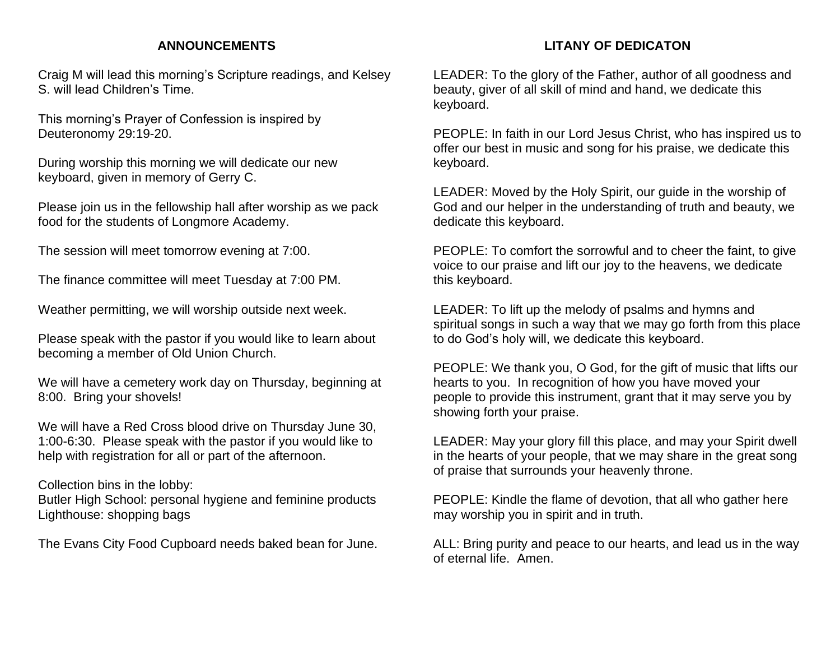## **ANNOUNCEMENTS**

Craig M will lead this morning's Scripture readings, and Kelsey S. will lead Children's Time.

This morning's Prayer of Confession is inspired by Deuteronomy 29:19-20.

During worship this morning we will dedicate our new keyboard, given in memory of Gerry C.

Please join us in the fellowship hall after worship as we pack food for the students of Longmore Academy.

The session will meet tomorrow evening at 7:00.

The finance committee will meet Tuesday at 7:00 PM.

Weather permitting, we will worship outside next week.

Please speak with the pastor if you would like to learn about becoming a member of Old Union Church.

We will have a cemetery work day on Thursday, beginning at 8:00. Bring your shovels!

We will have a Red Cross blood drive on Thursday June 30, 1:00-6:30. Please speak with the pastor if you would like to help with registration for all or part of the afternoon.

## Collection bins in the lobby:

Butler High School: personal hygiene and feminine products Lighthouse: shopping bags

The Evans City Food Cupboard needs baked bean for June.

## **LITANY OF DEDICATON**

LEADER: To the glory of the Father, author of all goodness and beauty, giver of all skill of mind and hand, we dedicate this keyboard.

PEOPLE: In faith in our Lord Jesus Christ, who has inspired us to offer our best in music and song for his praise, we dedicate this keyboard.

LEADER: Moved by the Holy Spirit, our guide in the worship of God and our helper in the understanding of truth and beauty, we dedicate this keyboard.

PEOPLE: To comfort the sorrowful and to cheer the faint, to give voice to our praise and lift our joy to the heavens, we dedicate this keyboard.

LEADER: To lift up the melody of psalms and hymns and spiritual songs in such a way that we may go forth from this place to do God's holy will, we dedicate this keyboard.

PEOPLE: We thank you, O God, for the gift of music that lifts our hearts to you. In recognition of how you have moved your people to provide this instrument, grant that it may serve you by showing forth your praise.

LEADER: May your glory fill this place, and may your Spirit dwell in the hearts of your people, that we may share in the great song of praise that surrounds your heavenly throne.

PEOPLE: Kindle the flame of devotion, that all who gather here may worship you in spirit and in truth.

ALL: Bring purity and peace to our hearts, and lead us in the way of eternal life. Amen.